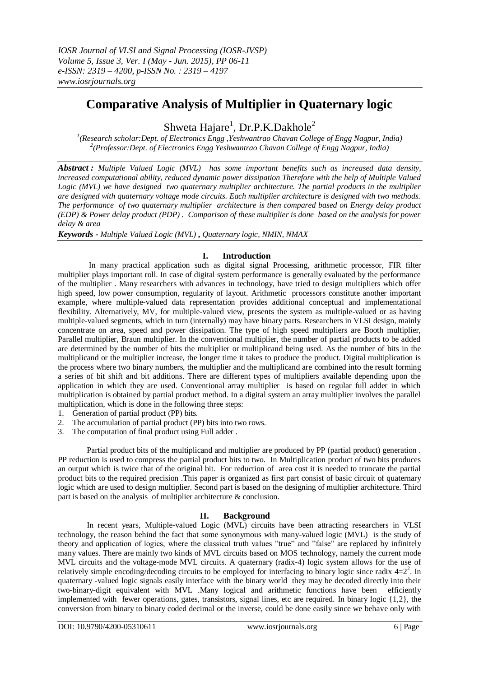# **Comparative Analysis of Multiplier in Quaternary logic**

Shweta Hajare<sup>1</sup>, Dr.P.K.Dakhole<sup>2</sup>

*1 (Research scholar:Dept. of Electronics Engg ,Yeshwantrao Chavan College of Engg Nagpur, India) 2 (Professor:Dept. of Electronics Engg Yeshwantrao Chavan College of Engg Nagpur, India)*

*Abstract : Multiple Valued Logic (MVL) has some important benefits such as increased data density, increased computational ability, reduced dynamic power dissipation Therefore with the help of Multiple Valued Logic (MVL) we have designed two quaternary multiplier architecture. The partial products in the multiplier are designed with quaternary voltage mode circuits. Each multiplier architecture is designed with two methods. The performance of two quaternary multiplier architecture is then compared based on Energy delay product (EDP) & Power delay product (PDP) . Comparison of these multiplier is done based on the analysis for power delay & area*

*Keywords - Multiple Valued Logic (MVL)* **,** *Quaternary logic, NMIN, NMAX*

# **I. Introduction**

In many practical application such as digital signal Processing, arithmetic processor, FIR filter multiplier plays important roll. In case of digital system performance is generally evaluated by the performance of the multiplier . Many researchers with advances in technology, have tried to design multipliers which offer high speed, low power consumption, regularity of layout. Arithmetic processors constitute another important example, where multiple-valued data representation provides additional conceptual and implementational flexibility. Alternatively, MV, for multiple-valued view, presents the system as multiple-valued or as having multiple-valued segments, which in turn (internally) may have binary parts. Researchers in VLSI design, mainly concentrate on area, speed and power dissipation. The type of high speed multipliers are Booth multiplier, Parallel multiplier, Braun multiplier. In the conventional multiplier, the number of partial products to be added are determined by the number of bits the multiplier or multiplicand being used. As the number of bits in the multiplicand or the multiplier increase, the longer time it takes to produce the product. Digital multiplication is the process where two binary numbers, the multiplier and the multiplicand are combined into the result forming a series of bit shift and bit additions. There are different types of multipliers available depending upon the application in which they are used. Conventional array multiplier is based on regular full adder in which multiplication is obtained by partial product method. In a digital system an array multiplier involves the parallel multiplication, which is done in the following three steps:

- 1. Generation of partial product (PP) bits.
- 2. The accumulation of partial product (PP) bits into two rows.
- 3. The computation of final product using Full adder .

Partial product bits of the multiplicand and multiplier are produced by PP (partial product) generation . PP reduction is used to compress the partial product bits to two. In Multiplication product of two bits produces an output which is twice that of the original bit. For reduction of area cost it is needed to truncate the partial product bits to the required precision .This paper is organized as first part consist of basic circuit of quaternary logic which are used to design multiplier. Second part is based on the designing of multiplier architecture. Third part is based on the analysis of multiplier architecture & conclusion.

# **II. Background**

In recent years, Multiple-valued Logic (MVL) circuits have been attracting researchers in VLSI technology, the reason behind the fact that some synonymous with many-valued logic (MVL) is the study of theory and application of logics, where the classical truth values "true" and "false" are replaced by infinitely many values. There are mainly two kinds of MVL circuits based on MOS technology, namely the current mode MVL circuits and the voltage-mode MVL circuits. A quaternary (radix-4) logic system allows for the use of relatively simple encoding/decoding circuits to be employed for interfacing to binary logic since radix  $4=2^2$ . In quaternary -valued logic signals easily interface with the binary world they may be decoded directly into their two-binary-digit equivalent with MVL .Many logical and arithmetic functions have been efficiently implemented with fewer operations, gates, transistors, signal lines, etc are required. In binary logic  $\{1,2\}$ , the conversion from binary to binary coded decimal or the inverse, could be done easily since we behave only with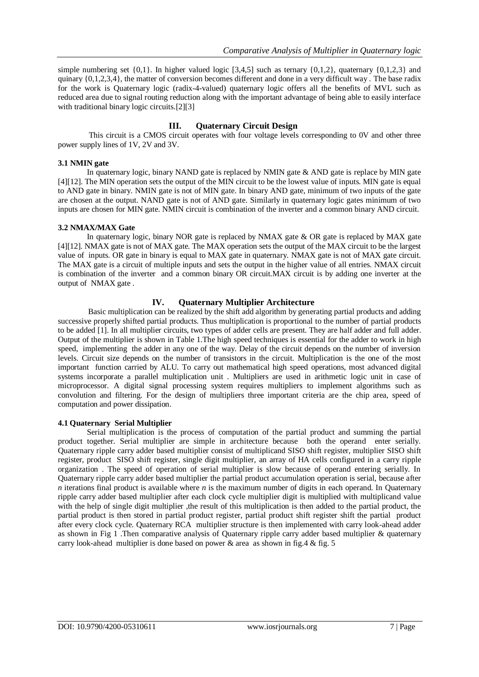simple numbering set  $\{0,1\}$ . In higher valued logic  $[3,4,5]$  such as ternary  $\{0,1,2\}$ , quaternary  $\{0,1,2,3\}$  and quinary  $\{0,1,2,3,4\}$ , the matter of conversion becomes different and done in a very difficult way. The base radix for the work is Quaternary logic (radix-4-valued) quaternary logic offers all the benefits of MVL such as reduced area due to signal routing reduction along with the important advantage of being able to easily interface with traditional binary logic circuits.<sup>[2][3]</sup>

# **III. Quaternary Circuit Design**

This circuit is a CMOS circuit operates with four voltage levels corresponding to 0V and other three power supply lines of 1V, 2V and 3V.

#### **3.1 NMIN gate**

In quaternary logic, binary NAND gate is replaced by NMIN gate & AND gate is replace by MIN gate [4][12]. The MIN operation sets the output of the MIN circuit to be the lowest value of inputs. MIN gate is equal to AND gate in binary. NMIN gate is not of MIN gate. In binary AND gate, minimum of two inputs of the gate are chosen at the output. NAND gate is not of AND gate. Similarly in quaternary logic gates minimum of two inputs are chosen for MIN gate. NMIN circuit is combination of the inverter and a common binary AND circuit.

#### **3.2 NMAX/MAX Gate**

In quaternary logic, binary NOR gate is replaced by NMAX gate & OR gate is replaced by MAX gate [4][12]. NMAX gate is not of MAX gate. The MAX operation sets the output of the MAX circuit to be the largest value of inputs. OR gate in binary is equal to MAX gate in quaternary. NMAX gate is not of MAX gate circuit. The MAX gate is a circuit of multiple inputs and sets the output in the higher value of all entries. NMAX circuit is combination of the inverter and a common binary OR circuit.MAX circuit is by adding one inverter at the output of NMAX gate .

# **IV. Quaternary Multiplier Architecture**

Basic multiplication can be realized by the shift add algorithm by generating partial products and adding successive properly shifted partial products. Thus multiplication is proportional to the number of partial products to be added [1]. In all multiplier circuits, two types of adder cells are present. They are half adder and full adder. Output of the multiplier is shown in Table 1.The high speed techniques is essential for the adder to work in high speed, implementing the adder in any one of the way. Delay of the circuit depends on the number of inversion levels. Circuit size depends on the number of transistors in the circuit. Multiplication is the one of the most important function carried by ALU. To carry out mathematical high speed operations, most advanced digital systems incorporate a parallel multiplication unit . Multipliers are used in arithmetic logic unit in case of microprocessor. A digital signal processing system requires multipliers to implement algorithms such as convolution and filtering. For the design of multipliers three important criteria are the chip area, speed of computation and power dissipation.

### **4.1 Quaternary Serial Multiplier**

Serial multiplication is the process of computation of the partial product and summing the partial product together. Serial multiplier are simple in architecture because both the operand enter serially. Quaternary ripple carry adder based multiplier consist of multiplicand SISO shift register, multiplier SISO shift register, product SISO shift register, single digit multiplier, an array of HA cells configured in a carry ripple organization . The speed of operation of serial multiplier is slow because of operand entering serially. In Quaternary ripple carry adder based multiplier the partial product accumulation operation is serial, because after *n* iterations final product is available where *n* is the maximum number of digits in each operand. In Quaternary ripple carry adder based multiplier after each clock cycle multiplier digit is multiplied with multiplicand value with the help of single digit multiplier, the result of this multiplication is then added to the partial product, the partial product is then stored in partial product register, partial product shift register shift the partial product after every clock cycle. Quaternary RCA multiplier structure is then implemented with carry look-ahead adder as shown in Fig 1 .Then comparative analysis of Quaternary ripple carry adder based multiplier & quaternary carry look-ahead multiplier is done based on power & area as shown in fig.4 & fig. 5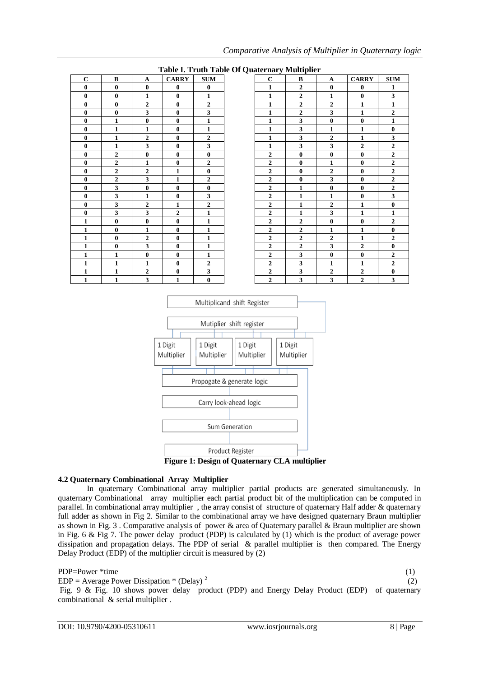|             |                  |                | Table I. Truth Table Of Quaternary Multiplier |                  |
|-------------|------------------|----------------|-----------------------------------------------|------------------|
| $\mathbf C$ | $\bf{B}$         | A              | <b>CARRY</b>                                  | <b>SUM</b>       |
| $\bf{0}$    | $\mathbf{0}$     | $\bf{0}$       | $\bf{0}$                                      | $\bf{0}$         |
| $\bf{0}$    | $\mathbf{0}$     | $\mathbf{1}$   | $\mathbf{0}$                                  | $\mathbf{1}$     |
| $\bf{0}$    | $\bf{0}$         | 2              | $\bf{0}$                                      | $\boldsymbol{2}$ |
| $\bf{0}$    | $\bf{0}$         | 3              | $\bf{0}$                                      | 3                |
| $\bf{0}$    | $\mathbf{1}$     | $\bf{0}$       | $\bf{0}$                                      | $\mathbf{1}$     |
| $\bf{0}$    | 1                | 1              | $\mathbf{0}$                                  | $\mathbf{1}$     |
| $\bf{0}$    | $\mathbf{1}$     | 2              | $\mathbf{0}$                                  | $\overline{2}$   |
| $\bf{0}$    | 1                | 3              | $\bf{0}$                                      | 3                |
| $\bf{0}$    | $\overline{2}$   | $\bf{0}$       | $\mathbf{0}$                                  | $\bf{0}$         |
| $\bf{0}$    | $\boldsymbol{2}$ | 1              | $\bf{0}$                                      | $\boldsymbol{2}$ |
| $\bf{0}$    | $\overline{2}$   | $\overline{2}$ | 1                                             | $\bf{0}$         |
| $\bf{0}$    | $\overline{2}$   | $\mathbf{3}$   | 1                                             | $\overline{2}$   |
| $\bf{0}$    | 3                | $\bf{0}$       | $\mathbf{0}$                                  | $\bf{0}$         |
| $\bf{0}$    | 3                | $\mathbf{1}$   | $\mathbf{0}$                                  | 3                |
| $\bf{0}$    | 3                | $\overline{2}$ | 1                                             | $\overline{2}$   |
| $\bf{0}$    | 3                | 3              | $\overline{2}$                                | $\mathbf{1}$     |
| 1           | $\mathbf{0}$     | $\bf{0}$       | $\mathbf{0}$                                  | $\mathbf{1}$     |
| 1           | $\mathbf{0}$     | 1              | $\mathbf{0}$                                  | $\mathbf{1}$     |
| 1           | $\mathbf{0}$     | $\overline{2}$ | $\mathbf{0}$                                  | $\mathbf{1}$     |
| 1           | $\bf{0}$         | 3              | $\bf{0}$                                      | $\mathbf{1}$     |
| 1           | $\mathbf{1}$     | $\bf{0}$       | $\mathbf{0}$                                  | 1                |
| 1           | 1                | 1              | $\mathbf{0}$                                  | $\overline{2}$   |
| 1           | 1                | $\mathbf{2}$   | $\mathbf{0}$                                  | 3                |
| 1           | $\mathbf{1}$     | 3              | 1                                             | $\bf{0}$         |

### *Comparative Analysis of Multiplier in Quaternary logic*





# **4.2 Quaternary Combinational Array Multiplier**

In quaternary Combinational array multiplier partial products are generated simultaneously. In quaternary Combinational array multiplier each partial product bit of the multiplication can be computed in parallel. In combinational array multiplier , the array consist of structure of quaternary Half adder & quaternary full adder as shown in Fig 2. Similar to the combinational array we have designed quaternary Braun multiplier as shown in Fig. 3 . Comparative analysis of power & area of Quaternary parallel & Braun multiplier are shown in Fig. 6 & Fig 7. The power delay product (PDP) is calculated by (1) which is the product of average power dissipation and propagation delays. The PDP of serial & parallel multiplier is then compared. The Energy Delay Product (EDP) of the multiplier circuit is measured by (2)

#### PDP=Power \*time (1)

 $EDP = Average Power Disipation * (Delay)<sup>2</sup>$ 

 (2) Fig. 9 & Fig. 10 shows power delay product (PDP) and Energy Delay Product (EDP) of quaternary combinational & serial multiplier .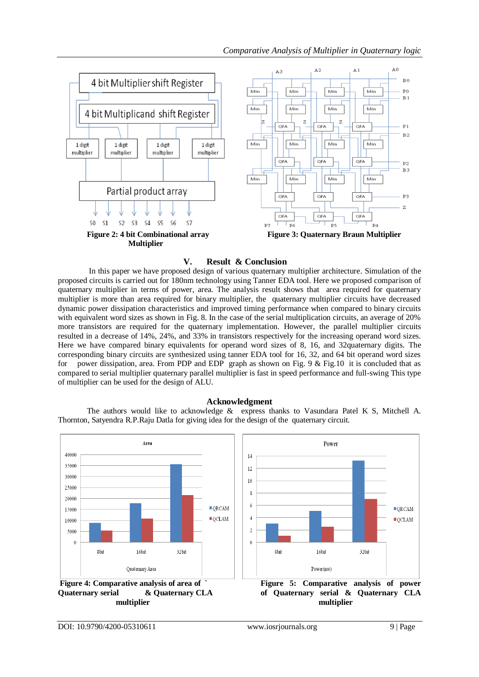# *Comparative Analysis of Multiplier in Quaternary logic*



# **V. Result & Conclusion**

In this paper we have proposed design of various quaternary multiplier architecture. Simulation of the proposed circuits is carried out for 180nm technology using Tanner EDA tool. Here we proposed comparison of quaternary multiplier in terms of power, area. The analysis result shows that area required for quaternary multiplier is more than area required for binary multiplier, the quaternary multiplier circuits have decreased dynamic power dissipation characteristics and improved timing performance when compared to binary circuits with equivalent word sizes as shown in Fig. 8. In the case of the serial multiplication circuits, an average of 20% more transistors are required for the quaternary implementation. However, the parallel multiplier circuits resulted in a decrease of 14%, 24%, and 33% in transistors respectively for the increasing operand word sizes. Here we have compared binary equivalents for operand word sizes of 8, 16, and 32quaternary digits. The corresponding binary circuits are synthesized using tanner EDA tool for 16, 32, and 64 bit operand word sizes for power dissipation, area. From PDP and EDP graph as shown on Fig. 9  $&$  Fig. 10 it is concluded that as compared to serial multiplier quaternary parallel multiplier is fast in speed performance and full-swing This type of multiplier can be used for the design of ALU.

### **Acknowledgment**

The authors would like to acknowledge & express thanks to Vasundara Patel K S, Mitchell A. Thornton, Satyendra R.P.Raju Datla for giving idea for the design of the quaternary circuit.

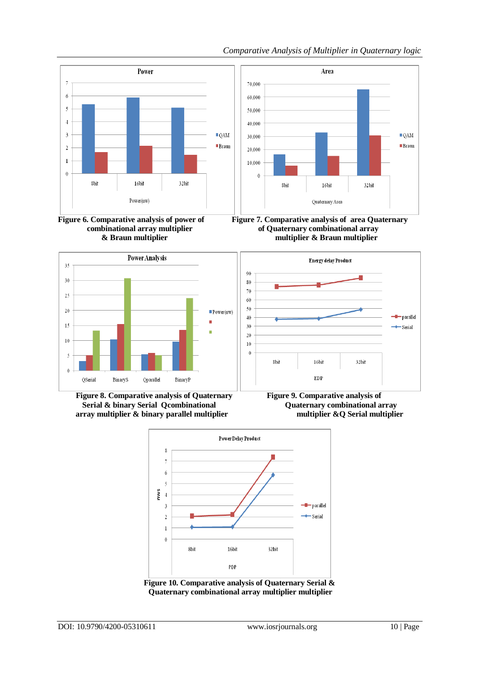

Area

 $\blacksquare$  QAM

**Braun** 









16bit

Quaternary Area

32bit

8bit



**Figure 8. Comparative analysis of Quaternary Figure 9. Comparative analysis of Serial & binary Serial Qcombinational <br>
<b>Quaternary combinational array array multiplier & binary parallel multiplier multiplier &Q Serial multiplier**



**Figure 10. Comparative analysis of Quaternary Serial & Quaternary combinational array multiplier multiplier**